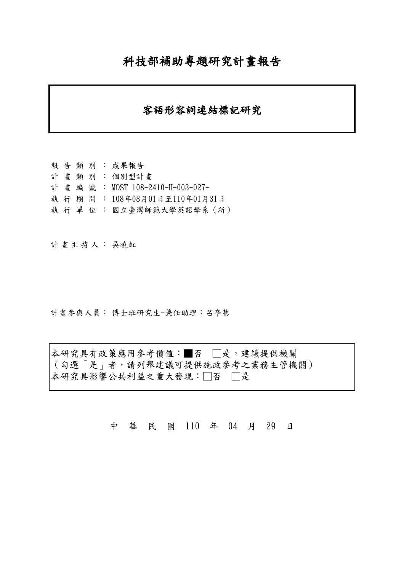## 科技部補助專題研究計畫報告

### 客語形容詞連結標記研究

報告類別: 成果報告 計畫類別: 個別型計畫 計畫編號: MOST 108-2410-H-003-027- 執行期間: 108年08月01日至110年01月31日 執 行 單 位 : 國立臺灣師範大學英語學系 (所)

計畫主持人: 吳曉虹

計畫參與人員: 博士班研究生-兼任助理:呂亭慧

本研究具有政策應用參考價值:■否 □是,建議提供機關 (勾選「是」者,請列舉建議可提供施政參考之業務主管機關) 本研究具影響公共利益之重大發現:□否 □是

中 華 民 國 110 年 04 月 29 日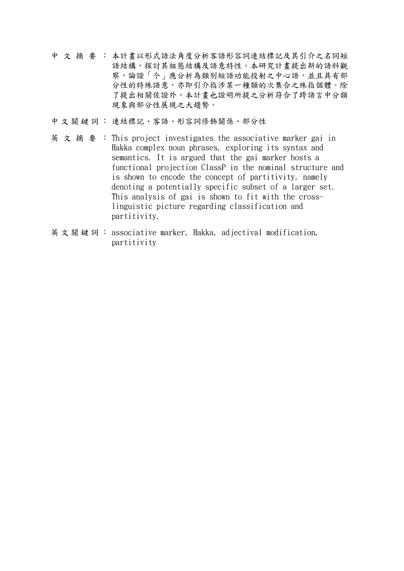- 中文摘要: 本計畫以形式語法角度分析客語形容詞連結標記及其引介之名詞短 語結構,探討其組態結構及語意特性。本研究計畫提出新的語料觀 察,論證「个」應分析為類別短語功能投射之中心語,並且具有部 分性的特殊語意,亦即引介指涉某一種類的次集合之殊指個體。除 了提出相關佐證外,本計畫也證明所提之分析符合了跨語言中分類 現象與部分性展現之大趨勢。
- 中文關鍵詞: 連結標記、客語、形容詞修飾關係、部分性
- 英文摘要: This project investigates the associative marker gai in Hakka complex noun phrases, exploring its syntax and semantics. It is argued that the gai marker hosts a functional projection ClassP in the nominal structure and is shown to encode the concept of partitivity, namely denoting a potentially specific subset of a larger set. This analysis of gai is shown to fit with the crosslinguistic picture regarding classification and partitivity.
- 英文關鍵詞: associative marker, Hakka, adjectival modification, partitivity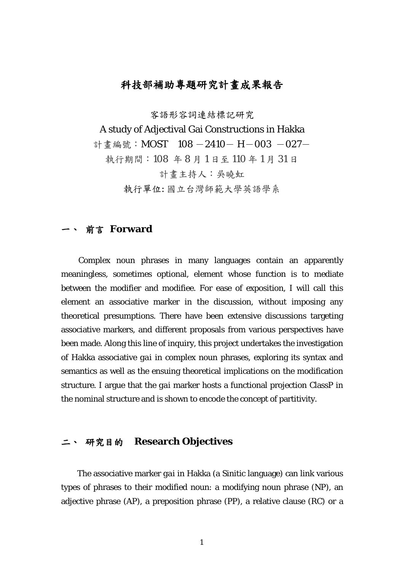### 科技部補助專題研究計畫成果報告

客語形容詞連結標記研究

A study of Adjectival Gai Constructions in Hakka

計書編號: MOST 108 -2410- H-003 -027-

執行期間:108 年 8 月 1 日至 110 年 1 月 31 日

計畫主持人:吳曉虹

執行單位: 國立台灣師範大學英語學系

#### **前言 Forward**

Complex noun phrases in many languages contain an apparently meaningless, sometimes optional, element whose function is to mediate between the modifier and modifiee. For ease of exposition, I will call this element an associative marker in the discussion, without imposing any theoretical presumptions. There have been extensive discussions targeting associative markers, and different proposals from various perspectives have been made. Along this line of inquiry, this project undertakes the investigation of Hakka associative *gai* in complex noun phrases, exploring its syntax and semantics as well as the ensuing theoretical implications on the modification structure. I argue that the *gai* marker hosts a functional projection ClassP in the nominal structure and is shown to encode the concept of partitivity.

#### 二、 研究目的 **Research Objectives**

The associative marker *gai* in Hakka (a Sinitic language) can link various types of phrases to their modified noun: a modifying noun phrase (NP), an adjective phrase (AP), a preposition phrase (PP), a relative clause (RC) or a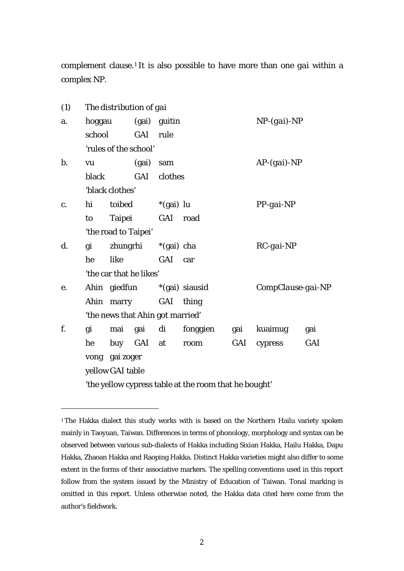complement clause.[1](#page-3-0) It is also possible to have more than one *gai* within a complex NP.

| (1)   |                                                       | The distribution of gai     |                         |                                  |          |     |                   |            |  |
|-------|-------------------------------------------------------|-----------------------------|-------------------------|----------------------------------|----------|-----|-------------------|------------|--|
| a.    | hoggau                                                |                             | (gai)                   | guitin                           |          |     | $NP$ -(gai)- $NP$ |            |  |
|       | school                                                |                             | GAI                     | rule                             |          |     |                   |            |  |
|       |                                                       |                             | 'rules of the school'   |                                  |          |     |                   |            |  |
| $b$ . | vu                                                    |                             |                         | sam                              |          |     | $AP-(gai)-NP$     |            |  |
|       | black                                                 |                             | GAI                     | clothes                          |          |     |                   |            |  |
|       |                                                       | 'black clothes'             |                         |                                  |          |     |                   |            |  |
| c.    | hi                                                    | toibed                      |                         | $*(gai)$ lu                      |          |     | $PP$ -gai-NP      |            |  |
|       | to                                                    |                             | Taipei                  | GAI                              | road     |     |                   |            |  |
|       |                                                       |                             | 'the road to Taipei'    |                                  |          |     |                   |            |  |
| d.    | gi                                                    | zhungrhi                    |                         | *(gai) cha                       |          |     | $RC$ -gai-NP      |            |  |
|       | he                                                    | like                        |                         | GAI car                          |          |     |                   |            |  |
|       |                                                       |                             | 'the car that he likes' |                                  |          |     |                   |            |  |
| e.    |                                                       | Ahin giedfun *(gai) siausid |                         |                                  |          |     | CompClause-gai-NP |            |  |
|       |                                                       |                             | Ahin marry              | GAI                              | thing    |     |                   |            |  |
|       |                                                       |                             |                         | 'the news that Ahin got married' |          |     |                   |            |  |
| f.    | gi                                                    | mai                         | gai di                  |                                  | fonggien | gai | kuaimug           | gai        |  |
|       | he                                                    |                             | buy GAI at              |                                  | room     | GAI | cypress           | <b>GAI</b> |  |
|       |                                                       | vong gai zoger              |                         |                                  |          |     |                   |            |  |
|       | yellow GAI table                                      |                             |                         |                                  |          |     |                   |            |  |
|       | 'the yellow cypress table at the room that he bought' |                             |                         |                                  |          |     |                   |            |  |

<span id="page-3-0"></span><sup>&</sup>lt;sup>1</sup> The Hakka dialect this study works with is based on the Northern Hailu variety spoken mainly in Taoyuan, Taiwan. Differences in terms of phonology, morphology and syntax can be observed between various sub-dialects of Hakka including Sixian Hakka, Hailu Hakka, Dapu Hakka, Zhaoan Hakka and Raoping Hakka. Distinct Hakka varieties might also differ to some extent in the forms of their associative markers. The spelling conventions used in this report follow from the system issued by the Ministry of Education of Taiwan. Tonal marking is omitted in this report. Unless otherwise noted, the Hakka data cited here come from the author's fieldwork.

 $\overline{a}$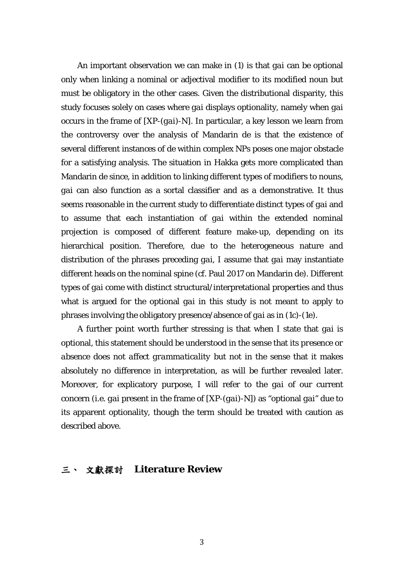An important observation we can make in (1) is that *gai* can be optional only when linking a nominal or adjectival modifier to its modified noun but must be obligatory in the other cases. Given the distributional disparity, this study focuses solely on cases where *gai* displays optionality, namely when *gai* occurs in the frame of [XP-(*gai*)-N]. In particular, a key lesson we learn from the controversy over the analysis of Mandarin *de* is that the existence of several different instances of *de* within complex NPs poses one major obstacle for a satisfying analysis. The situation in Hakka gets more complicated than Mandarin *de* since, in addition to linking different types of modifiers to nouns, *gai* can also function as a sortal classifier and as a demonstrative. It thus seems reasonable in the current study to differentiate distinct types of *gai* and to assume that each instantiation of *gai* within the extended nominal projection is composed of different feature make-up, depending on its hierarchical position. Therefore, due to the heterogeneous nature and distribution of the phrases preceding *gai*, I assume that *gai* may instantiate different heads on the nominal spine (cf. Paul 2017 on Mandarin *de*). Different types of *gai* come with distinct structural/interpretational properties and thus what is argued for the optional *gai* in this study is not meant to apply to phrases involving the obligatory presence/absence of *gai* as in (1c)-(1e).

A further point worth further stressing is that when I state that *gai* is optional, this statement should be understood in the sense that *its presence or absence does not affect grammaticality* but not in the sense that it makes absolutely no difference in interpretation, as will be further revealed later. Moreover, for explicatory purpose, I will refer to the *gai* of our current concern (i.e. *gai* present in the frame of [XP-(*gai*)-N]) as "optional *gai*" due to its apparent optionality, though the term should be treated with caution as described above.

#### 三、 文獻探討 **Literature Review**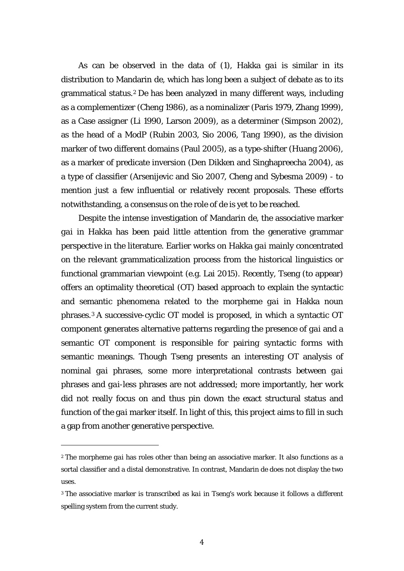As can be observed in the data of (1), Hakka *gai* is similar in its distribution to Mandarin *de*, which has long been a subject of debate as to its grammatical status.[2](#page-5-0) *De* has been analyzed in many different ways, including as a complementizer (Cheng 1986), as a nominalizer (Paris 1979, Zhang 1999), as a Case assigner (Li 1990, Larson 2009), as a determiner (Simpson 2002), as the head of a ModP (Rubin 2003, Sio 2006, Tang 1990), as the division marker of two different domains (Paul 2005), as a type-shifter (Huang 2006), as a marker of predicate inversion (Den Dikken and Singhapreecha 2004), as a type of classifier (Arsenijevic and Sio 2007, Cheng and Sybesma 2009) - to mention just a few influential or relatively recent proposals. These efforts notwithstanding, a consensus on the role of *de* is yet to be reached.

Despite the intense investigation of Mandarin *de*, the associative marker *gai* in Hakka has been paid little attention from the generative grammar perspective in the literature. Earlier works on Hakka *gai* mainly concentrated on the relevant grammaticalization process from the historical linguistics or functional grammarian viewpoint (e.g. Lai 2015). Recently, Tseng (to appear) offers an optimality theoretical (OT) based approach to explain the syntactic and semantic phenomena related to the morpheme *gai* in Hakka noun phrases.[3](#page-5-1) A successive-cyclic OT model is proposed, in which a syntactic OT component generates alternative patterns regarding the presence of *gai* and a semantic OT component is responsible for pairing syntactic forms with semantic meanings. Though Tseng presents an interesting OT analysis of nominal *gai* phrases, some more interpretational contrasts between *gai* phrases and *gai*-less phrases are not addressed; more importantly, her work did not really focus on and thus pin down the exact structural status and function of the *gai* marker itself. In light of this, this project aims to fill in such a gap from another generative perspective.

l

<span id="page-5-0"></span><sup>2</sup> The morpheme *gai* has roles other than being an associative marker. It also functions as a sortal classifier and a distal demonstrative. In contrast, Mandarin *de* does not display the two uses.

<span id="page-5-1"></span><sup>3</sup> The associative marker is transcribed as *kai* in Tseng's work because it follows a different spelling system from the current study.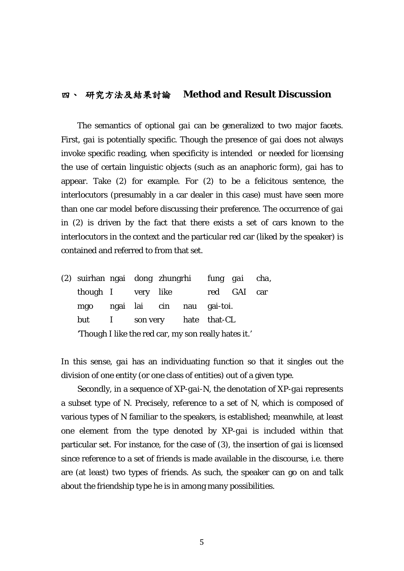#### 四、 研究方法及結果討論 **Method and Result Discussion**

The semantics of optional *gai* can be generalized to two major facets. First, *gai* is potentially specific. Though the presence of *gai* does not always invoke specific reading, when specificity is intended or needed for licensing the use of certain linguistic objects (such as an anaphoric form), *gai* has to appear. Take (2) for example. For (2) to be a felicitous sentence, the interlocutors (presumably in a car dealer in this case) must have seen more than one car model before discussing their preference. The occurrence of *gai* in (2) is driven by the fact that there exists a set of cars known to the interlocutors in the context and the particular red car (liked by the speaker) is contained and referred to from that set.

|                                                      |  | (2) suirhan ngai dong zhungrhi <i>fung gai cha</i> , |  |  |                           |             |  |
|------------------------------------------------------|--|------------------------------------------------------|--|--|---------------------------|-------------|--|
| though I very like                                   |  |                                                      |  |  |                           | red GAI car |  |
| mgo                                                  |  |                                                      |  |  | ngai lai cin nau gai-toi. |             |  |
| but                                                  |  | I son very hate that-CL                              |  |  |                           |             |  |
| 'Though I like the red car, my son really hates it.' |  |                                                      |  |  |                           |             |  |

In this sense, *gai* has an individuating function so that it singles out the division of one entity (or one class of entities) out of a given type.

Secondly, in a sequence of *XP-gai-N*, the denotation of *XP-gai* represents a subset type of N. Precisely, reference to a set of N, which is composed of various types of N familiar to the speakers, is established; meanwhile, at least one element from the type denoted by *XP-gai* is included within that particular set. For instance, for the case of (3), the insertion of *gai* is licensed since reference to a set of friends is made available in the discourse, i.e. there are (at least) two types of friends. As such, the speaker can go on and talk about the friendship type he is in among many possibilities.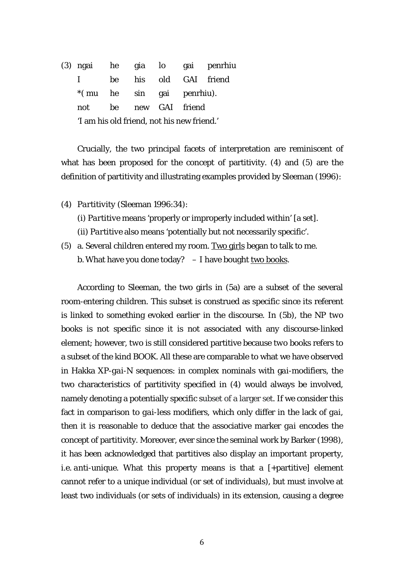(3) ngai he gia lo gai penrhiu I be his old GAI friend \*( mu he sin gai penrhiu). not be new GAI friend 'I am his old friend, not his new friend.'

Crucially, the two principal facets of interpretation are reminiscent of what has been proposed for the concept of partitivity. (4) and (5) are the definition of partitivity and illustrating examples provided by Sleeman (1996):

- (4) *Partitivity* (Sleeman 1996:34):
	- (i) *Partitive* means 'properly or improperly included within' [a set].
	- (ii) *Partitive* also means 'potentially but not necessarily specific'.
- (5) a. Several children entered my room. Two girls began to talk to me. b. What have you done today?  $- I$  have bought two books.

According to Sleeman, the two girls in (5a) are a subset of the several room-entering children. This subset is construed as specific since its referent is linked to something evoked earlier in the discourse. In (5b), the NP *two books* is not specific since it is not associated with any discourse-linked element; however, *two* is still considered partitive because *two books* refers to a subset of the kind BOOK. All these are comparable to what we have observed in Hakka XP-*gai*-N sequences: in complex nominals with g*ai*-modifiers, the two characteristics of partitivity specified in (4) would always be involved, namely denoting a potentially specific subset of a larger set. If we consider this fact in comparison to *gai*-less modifiers, which only differ in the lack of *gai*, then it is reasonable to deduce that the associative marker *gai* encodes the concept of partitivity. Moreover, ever since the seminal work by Barker (1998), it has been acknowledged that partitives also display an important property, i.e. *anti-unique*. What this property means is that a [+partitive] element cannot refer to a unique individual (or set of individuals), but must involve at least two individuals (or sets of individuals) in its extension, causing a degree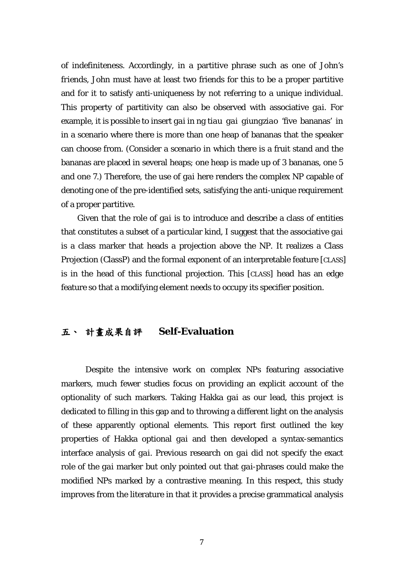of indefiniteness. Accordingly, in a partitive phrase such as *one of John's friends*, John must have at least two friends for this to be a proper partitive and for it to satisfy anti-uniqueness by not referring to a unique individual. This property of partitivity can also be observed with associative *gai*. For example, it is possible to insert *gai* in *ng tiau gai giungziao* 'five bananas' in in a scenario where there is more than one heap of bananas that the speaker can choose from. (Consider a scenario in which there is a fruit stand and the bananas are placed in several heaps; one heap is made up of 3 bananas, one 5 and one 7.) Therefore, the use of *gai* here renders the complex NP capable of denoting one of the pre-identified sets, satisfying the anti-unique requirement of a proper partitive.

Given that the role of *gai* is to introduce and describe a class of entities that constitutes a subset of a particular kind, I suggest that the associative *gai* is a class marker that heads a projection above the NP. It realizes a Class Projection (ClassP) and the formal exponent of an interpretable feature [CLASS] is in the head of this functional projection. This [CLASS] head has an edge feature so that a modifying element needs to occupy its specifier position.

## 五、 計畫成果自評 **Self-Evaluation**

Despite the intensive work on complex NPs featuring associative markers, much fewer studies focus on providing an explicit account of the optionality of such markers. Taking Hakka *gai* as our lead, this project is dedicated to filling in this gap and to throwing a different light on the analysis of these apparently optional elements. This report first outlined the key properties of Hakka optional *gai* and then developed a syntax-semantics interface analysis of *gai*. Previous research on *gai* did not specify the exact role of the *gai* marker but only pointed out that *gai*-phrases could make the modified NPs marked by a contrastive meaning. In this respect, this study improves from the literature in that it provides a precise grammatical analysis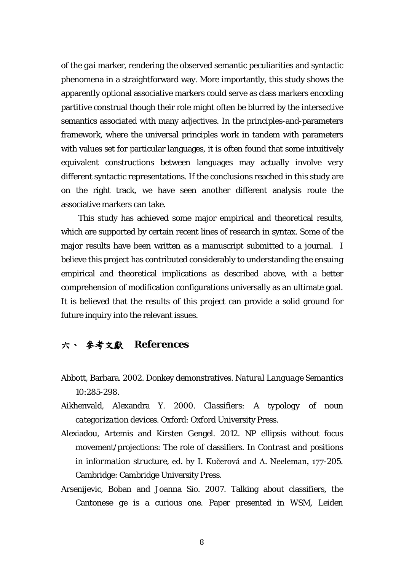of the *gai* marker, rendering the observed semantic peculiarities and syntactic phenomena in a straightforward way. More importantly, this study shows the apparently optional associative markers could serve as class markers encoding partitive construal though their role might often be blurred by the intersective semantics associated with many adjectives. In the principles-and-parameters framework, where the universal principles work in tandem with parameters with values set for particular languages, it is often found that some intuitively equivalent constructions between languages may actually involve very different syntactic representations. If the conclusions reached in this study are on the right track, we have seen another different analysis route the associative markers can take.

This study has achieved some major empirical and theoretical results, which are supported by certain recent lines of research in syntax. Some of the major results have been written as a manuscript submitted to a journal. I believe this project has contributed considerably to understanding the ensuing empirical and theoretical implications as described above, with a better comprehension of modification configurations universally as an ultimate goal. It is believed that the results of this project can provide a solid ground for future inquiry into the relevant issues.

### 六、 參考文獻 **References**

- Abbott, Barbara. 2002. Donkey demonstratives. *Natural Language Semantics*  10:285-298.
- Aikhenvald, Alexandra Y. 2000. *Classifiers: A typology of noun categorization devices*. Oxford: Oxford University Press.
- Alexiadou, Artemis and Kirsten Gengel. 2012. NP ellipsis without focus movement/projections: The role of classifiers. In *Contrast and positions in information structure,* ed. by I. Kučerová and A. Neeleman, 177-205. Cambridge: Cambridge University Press.
- Arsenijevic, Boban and Joanna Sio. 2007. Talking about classifiers, the Cantonese *ge* is a curious one. Paper presented in WSM, Leiden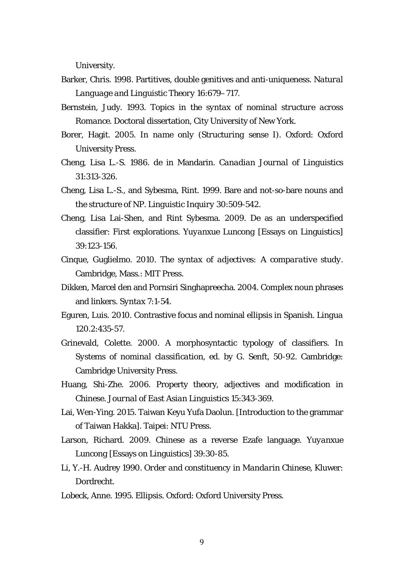University.

- Barker, Chris. 1998. Partitives, double genitives and anti-uniqueness. *Natural Language and Linguistic Theory* 16:679–717.
- Bernstein, Judy. 1993. *Topics in the syntax of nominal structure across Romance*. Doctoral dissertation, City University of New York.
- Borer, Hagit. 2005. *In name only (Structuring sense I)*. Oxford: Oxford University Press.
- Cheng, Lisa L.-S. 1986. *de* in Mandarin. *Canadian Journal of Linguistics*  31:313-326.
- Cheng, Lisa L.-S., and Sybesma, Rint. 1999. Bare and not-so-bare nouns and the structure of NP. *Linguistic Inquiry* 30:509-542.
- Cheng, Lisa Lai-Shen, and Rint Sybesma. 2009. *De* as an underspecified classifier: First explorations. *Yuyanxue Luncong* [Essays on Linguistics] 39:123-156.
- Cinque, Guglielmo. 2010. *The syntax of adjectives: A comparative study*. Cambridge, Mass.: MIT Press.
- Dikken, Marcel den and Pornsiri Singhapreecha. 2004. Complex noun phrases and linkers. *Syntax* 7:1-54.
- Eguren, Luis. 2010. Contrastive focus and nominal ellipsis in Spanish. *Lingua*  120.2:435-57.
- Grinevald, Colette. 2000. A morphosyntactic typology of classifiers. In *Systems of nominal classification,* ed. by G. Senft, 50-92. Cambridge: Cambridge University Press.
- Huang, Shi-Zhe. 2006. Property theory, adjectives and modification in Chinese. *Journal of East Asian Linguistics* 15:343-369.
- Lai, Wen-Ying. 2015. Taiwan Keyu Yufa Daolun. [Introduction to the grammar of Taiwan Hakka]. Taipei: NTU Press.
- Larson, Richard. 2009. Chinese as a reverse Ezafe language. *Yuyanxue Luncong* [Essays on Linguistics] 39:30-85.
- Li, Y.-H. Audrey 1990. *Order and constituency in Mandarin Chinese*, Kluwer: Dordrecht.
- Lobeck, Anne. 1995. *Ellipsis*. Oxford: Oxford University Press.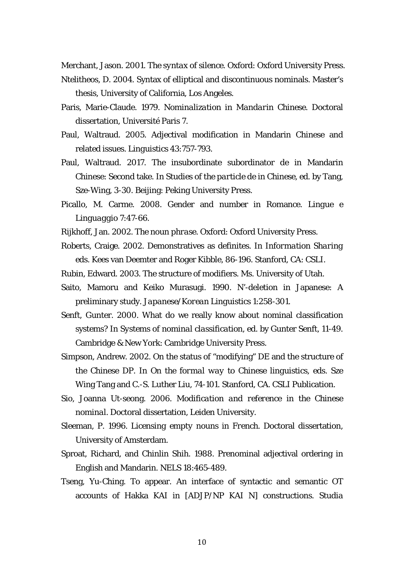Merchant, Jason. 2001. *The syntax of silence*. Oxford: Oxford University Press.

- Ntelitheos, D. 2004. Syntax of elliptical and discontinuous nominals. Master's thesis, University of California, Los Angeles.
- Paris, Marie-Claude. 1979. *Nominalization in Mandarin Chinese.* Doctoral dissertation, Université Paris 7.
- Paul, Waltraud. 2005. Adjectival modification in Mandarin Chinese and related issues. *Linguistics* 43:757-793.
- Paul, Waltraud. 2017. The insubordinate subordinator *de* in Mandarin Chinese: Second take. In *Studies of the particle de in Chinese,* ed. by Tang, Sze-Wing, 3-30. Beijing: Peking University Press.
- Picallo, M. Carme. 2008. Gender and number in Romance. *Lingue e Linguaggio* 7:47-66.
- Rijkhoff, Jan. 2002. *The noun phrase*. Oxford: Oxford University Press.
- Roberts, Craige. 2002. Demonstratives as definites. In *Information Sharing* eds. Kees van Deemter and Roger Kibble, 86-196. Stanford, CA: CSLI.
- Rubin, Edward. 2003. The structure of modifiers. Ms. University of Utah.
- Saito, Mamoru and Keiko Murasugi. 1990. N'-deletion in Japanese: A preliminary study. *Japanese/Korean Linguistics* 1:258-301.
- Senft, Gunter. 2000. What do we really know about nominal classification systems? In *Systems of nominal classification*, ed. by Gunter Senft, 11-49. Cambridge & New York: Cambridge University Press.
- Simpson, Andrew. 2002. On the status of "modifying" DE and the structure of the Chinese DP. In *On the formal way to Chinese linguistics*, eds. Sze Wing Tang and C.-S. Luther Liu, 74-101. Stanford, CA. CSLI Publication.
- Sio, Joanna Ut-seong. 2006. *Modification and reference in the Chinese nominal*. Doctoral dissertation, Leiden University.
- Sleeman, P. 1996. *Licensing empty nouns in French*. Doctoral dissertation, University of Amsterdam.
- Sproat, Richard, and Chinlin Shih. 1988. Prenominal adjectival ordering in English and Mandarin. *NELS* 18:465-489.
- Tseng, Yu-Ching. To appear. An interface of syntactic and semantic OT accounts of Hakka KAI in [ADJP/NP KAI N] constructions. *Studia*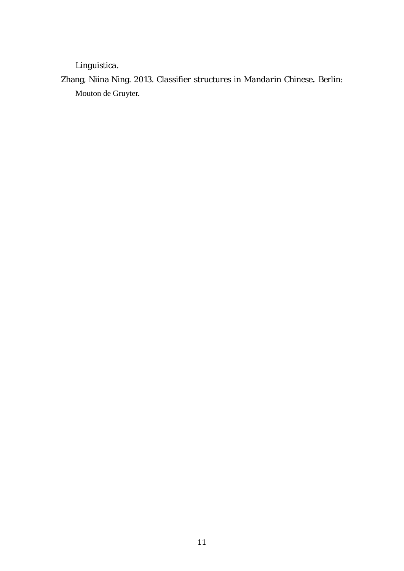## *Linguistica*.

Zhang, Niina Ning. 2013. *Classifier structures in Mandarin Chinese***.** Berlin: Mouton de Gruyter.